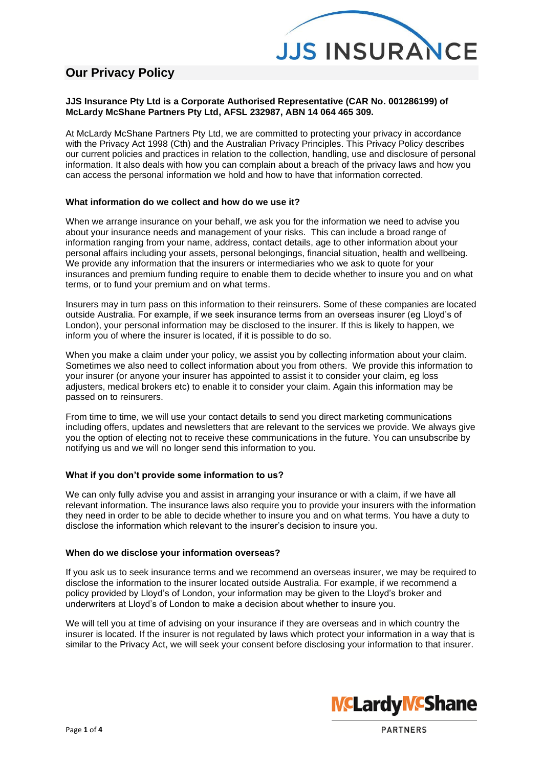

# **Our Privacy Policy**

# **JJS Insurance Pty Ltd is a Corporate Authorised Representative (CAR No. 001286199) of McLardy McShane Partners Pty Ltd, AFSL 232987, ABN 14 064 465 309.**

At McLardy McShane Partners Pty Ltd, we are committed to protecting your privacy in accordance with the Privacy Act 1998 (Cth) and the Australian Privacy Principles. This Privacy Policy describes our current policies and practices in relation to the collection, handling, use and disclosure of personal information. It also deals with how you can complain about a breach of the privacy laws and how you can access the personal information we hold and how to have that information corrected.

# **What information do we collect and how do we use it?**

When we arrange insurance on your behalf, we ask you for the information we need to advise you about your insurance needs and management of your risks. This can include a broad range of information ranging from your name, address, contact details, age to other information about your personal affairs including your assets, personal belongings, financial situation, health and wellbeing. We provide any information that the insurers or intermediaries who we ask to quote for your insurances and premium funding require to enable them to decide whether to insure you and on what terms, or to fund your premium and on what terms.

Insurers may in turn pass on this information to their reinsurers. Some of these companies are located outside Australia. For example, if we seek insurance terms from an overseas insurer (eg Lloyd's of London), your personal information may be disclosed to the insurer. If this is likely to happen, we inform you of where the insurer is located, if it is possible to do so.

When you make a claim under your policy, we assist you by collecting information about your claim. Sometimes we also need to collect information about you from others. We provide this information to your insurer (or anyone your insurer has appointed to assist it to consider your claim, eg loss adjusters, medical brokers etc) to enable it to consider your claim. Again this information may be passed on to reinsurers.

From time to time, we will use your contact details to send you direct marketing communications including offers, updates and newsletters that are relevant to the services we provide. We always give you the option of electing not to receive these communications in the future. You can unsubscribe by notifying us and we will no longer send this information to you.

# **What if you don't provide some information to us?**

We can only fully advise you and assist in arranging your insurance or with a claim, if we have all relevant information. The insurance laws also require you to provide your insurers with the information they need in order to be able to decide whether to insure you and on what terms. You have a duty to disclose the information which relevant to the insurer's decision to insure you.

# **When do we disclose your information overseas?**

If you ask us to seek insurance terms and we recommend an overseas insurer, we may be required to disclose the information to the insurer located outside Australia. For example, if we recommend a policy provided by Lloyd's of London, your information may be given to the Lloyd's broker and underwriters at Lloyd's of London to make a decision about whether to insure you.

We will tell you at time of advising on your insurance if they are overseas and in which country the insurer is located. If the insurer is not regulated by laws which protect your information in a way that is similar to the Privacy Act, we will seek your consent before disclosing your information to that insurer.

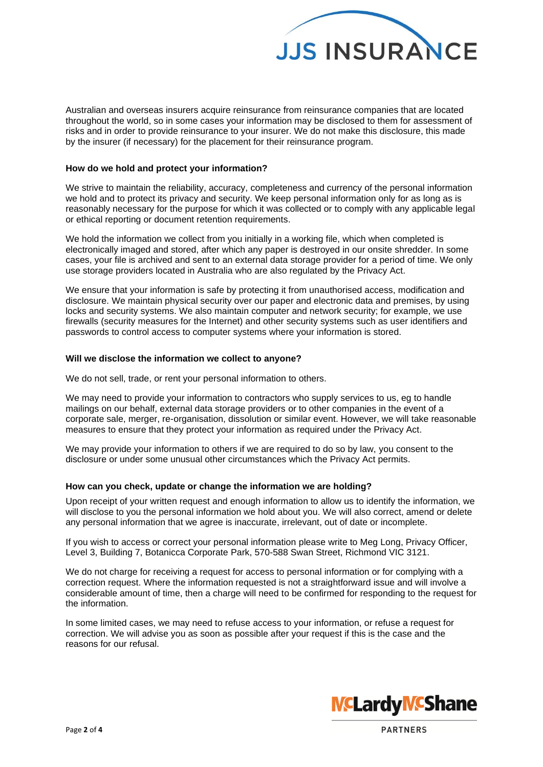

Australian and overseas insurers acquire reinsurance from reinsurance companies that are located throughout the world, so in some cases your information may be disclosed to them for assessment of risks and in order to provide reinsurance to your insurer. We do not make this disclosure, this made by the insurer (if necessary) for the placement for their reinsurance program.

#### **How do we hold and protect your information?**

We strive to maintain the reliability, accuracy, completeness and currency of the personal information we hold and to protect its privacy and security. We keep personal information only for as long as is reasonably necessary for the purpose for which it was collected or to comply with any applicable legal or ethical reporting or document retention requirements.

We hold the information we collect from you initially in a working file, which when completed is electronically imaged and stored, after which any paper is destroyed in our onsite shredder. In some cases, your file is archived and sent to an external data storage provider for a period of time. We only use storage providers located in Australia who are also regulated by the Privacy Act.

We ensure that your information is safe by protecting it from unauthorised access, modification and disclosure. We maintain physical security over our paper and electronic data and premises, by using locks and security systems. We also maintain computer and network security; for example, we use firewalls (security measures for the Internet) and other security systems such as user identifiers and passwords to control access to computer systems where your information is stored.

#### **Will we disclose the information we collect to anyone?**

We do not sell, trade, or rent your personal information to others.

We may need to provide your information to contractors who supply services to us, eg to handle mailings on our behalf, external data storage providers or to other companies in the event of a corporate sale, merger, re-organisation, dissolution or similar event. However, we will take reasonable measures to ensure that they protect your information as required under the Privacy Act.

We may provide your information to others if we are required to do so by law, you consent to the disclosure or under some unusual other circumstances which the Privacy Act permits.

## **How can you check, update or change the information we are holding?**

Upon receipt of your written request and enough information to allow us to identify the information, we will disclose to you the personal information we hold about you. We will also correct, amend or delete any personal information that we agree is inaccurate, irrelevant, out of date or incomplete.

If you wish to access or correct your personal information please write to Meg Long, Privacy Officer, Level 3, Building 7, Botanicca Corporate Park, 570-588 Swan Street, Richmond VIC 3121.

We do not charge for receiving a request for access to personal information or for complying with a correction request. Where the information requested is not a straightforward issue and will involve a considerable amount of time, then a charge will need to be confirmed for responding to the request for the information.

In some limited cases, we may need to refuse access to your information, or refuse a request for correction. We will advise you as soon as possible after your request if this is the case and the reasons for our refusal.



PARTNERS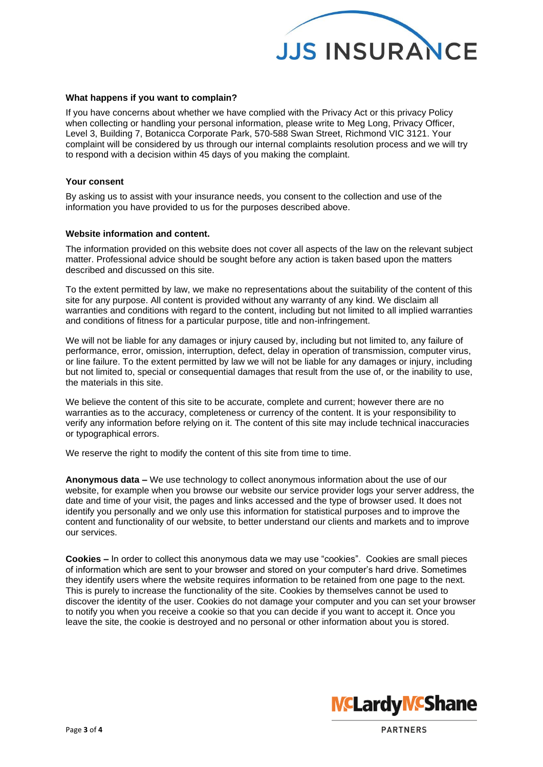

#### **What happens if you want to complain?**

If you have concerns about whether we have complied with the Privacy Act or this privacy Policy when collecting or handling your personal information, please write to Meg Long, Privacy Officer, Level 3, Building 7, Botanicca Corporate Park, 570-588 Swan Street, Richmond VIC 3121. Your complaint will be considered by us through our internal complaints resolution process and we will try to respond with a decision within 45 days of you making the complaint.

#### **Your consent**

By asking us to assist with your insurance needs, you consent to the collection and use of the information you have provided to us for the purposes described above.

## **Website information and content.**

The information provided on this website does not cover all aspects of the law on the relevant subject matter. Professional advice should be sought before any action is taken based upon the matters described and discussed on this site.

To the extent permitted by law, we make no representations about the suitability of the content of this site for any purpose. All content is provided without any warranty of any kind. We disclaim all warranties and conditions with regard to the content, including but not limited to all implied warranties and conditions of fitness for a particular purpose, title and non-infringement.

We will not be liable for any damages or injury caused by, including but not limited to, any failure of performance, error, omission, interruption, defect, delay in operation of transmission, computer virus, or line failure. To the extent permitted by law we will not be liable for any damages or injury, including but not limited to, special or consequential damages that result from the use of, or the inability to use, the materials in this site.

We believe the content of this site to be accurate, complete and current; however there are no warranties as to the accuracy, completeness or currency of the content. It is your responsibility to verify any information before relying on it. The content of this site may include technical inaccuracies or typographical errors.

We reserve the right to modify the content of this site from time to time.

**Anonymous data –** We use technology to collect anonymous information about the use of our website, for example when you browse our website our service provider logs your server address, the date and time of your visit, the pages and links accessed and the type of browser used. It does not identify you personally and we only use this information for statistical purposes and to improve the content and functionality of our website, to better understand our clients and markets and to improve our services.

**Cookies –** In order to collect this anonymous data we may use "cookies". Cookies are small pieces of information which are sent to your browser and stored on your computer's hard drive. Sometimes they identify users where the website requires information to be retained from one page to the next. This is purely to increase the functionality of the site. Cookies by themselves cannot be used to discover the identity of the user. Cookies do not damage your computer and you can set your browser to notify you when you receive a cookie so that you can decide if you want to accept it. Once you leave the site, the cookie is destroyed and no personal or other information about you is stored.



PARTNERS